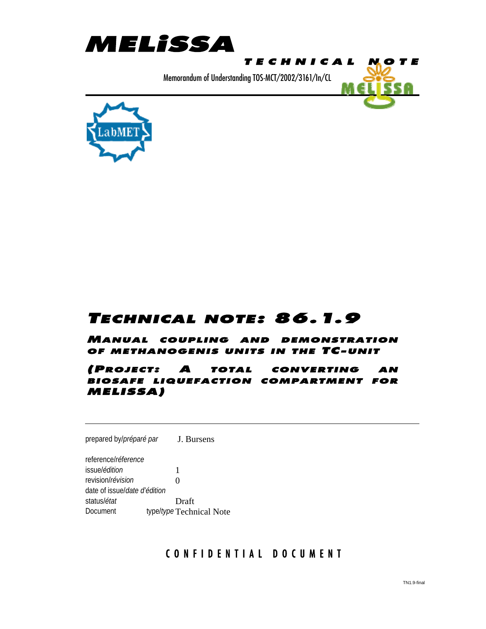



# TECHNICAL NOTE: 86.1.9

MANUAL COUPLING AND DEMONSTRATION OF METHANOGENIS UNITS IN THE TC-UNIT

(PROJECT: A TOTAL CONVERTING AN BIOSAFE LIQUEFACTION COMPARTMENT FOR MELISSA)

prepared by/*préparé par* J. Bursens

reference/*réference* issue/*édition* 1 revision/*révision* 0 date of issue/*date d'édition* status/*état* Draft Document type/*type* Technical Note

#### CONFIDENTIAL DOCUMENT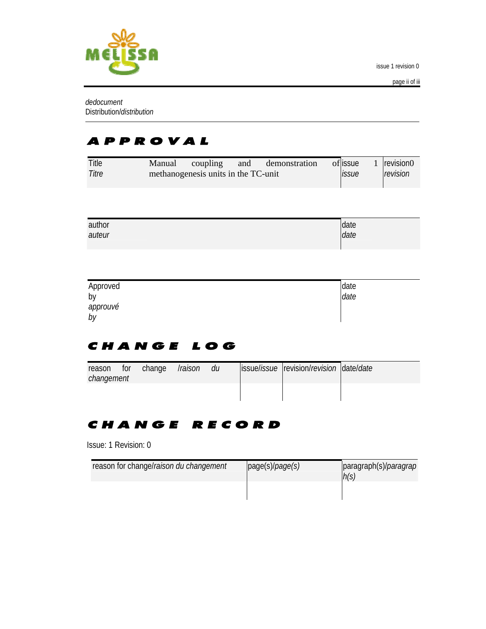

*dedocument* Distribution/*distribution*

# APPROVAL

| Title | Manual | coupling                            | and | demonstration | of issue            | revision0 |
|-------|--------|-------------------------------------|-----|---------------|---------------------|-----------|
| Titre |        | methanogenesis units in the TC-unit |     |               | <i><b>ISSUE</b></i> | revision  |

| author | date |
|--------|------|
| auteur | date |

| Approved | date |
|----------|------|
| by       | date |
| approuvé |      |
| by       |      |

## CHANGE LOG

| reason<br>changement | $\blacksquare$ for | change | Traison | du | issue/ <i>issue</i> revision/ <i>revision</i> date/ <i>date</i> |  |
|----------------------|--------------------|--------|---------|----|-----------------------------------------------------------------|--|
|                      |                    |        |         |    |                                                                 |  |

## CHANGE RECORD

Issue: 1 Revision: 0

| reason for change/raison du changement | page(s)/page(s) | paragraph(s)/ <i>paragrap</i><br>h(s) |
|----------------------------------------|-----------------|---------------------------------------|
|                                        |                 |                                       |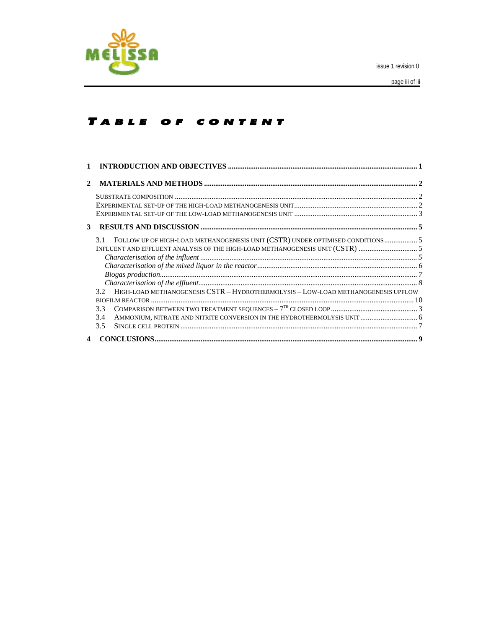

### TABLE OF CONTENT

| $\mathbf{2}$            |                                                                                                                                                                                                                                                                                                                                                                                                                                                                                                                |  |
|-------------------------|----------------------------------------------------------------------------------------------------------------------------------------------------------------------------------------------------------------------------------------------------------------------------------------------------------------------------------------------------------------------------------------------------------------------------------------------------------------------------------------------------------------|--|
|                         |                                                                                                                                                                                                                                                                                                                                                                                                                                                                                                                |  |
|                         |                                                                                                                                                                                                                                                                                                                                                                                                                                                                                                                |  |
|                         |                                                                                                                                                                                                                                                                                                                                                                                                                                                                                                                |  |
| 3                       |                                                                                                                                                                                                                                                                                                                                                                                                                                                                                                                |  |
|                         | FOLLOW UP OF HIGH-LOAD METHANOGENESIS UNIT (CSTR) UNDER OPTIMISED CONDITIONS 5<br>3.1                                                                                                                                                                                                                                                                                                                                                                                                                          |  |
|                         | INFLUENT AND EFFLUENT ANALYSIS OF THE HIGH-LOAD METHANOGENESIS UNIT (CSTR) 5                                                                                                                                                                                                                                                                                                                                                                                                                                   |  |
|                         |                                                                                                                                                                                                                                                                                                                                                                                                                                                                                                                |  |
|                         |                                                                                                                                                                                                                                                                                                                                                                                                                                                                                                                |  |
|                         |                                                                                                                                                                                                                                                                                                                                                                                                                                                                                                                |  |
|                         |                                                                                                                                                                                                                                                                                                                                                                                                                                                                                                                |  |
|                         | 3.2 HIGH-LOAD METHANOGENESIS CSTR - HYDROTHERMOLYSIS - LOW-LOAD METHANOGENESIS UPFLOW                                                                                                                                                                                                                                                                                                                                                                                                                          |  |
|                         |                                                                                                                                                                                                                                                                                                                                                                                                                                                                                                                |  |
|                         | 3.3                                                                                                                                                                                                                                                                                                                                                                                                                                                                                                            |  |
|                         | AMMONIUM, NITRATE AND NITRITE CONVERSION IN THE HYDROTHERMOLYSIS UNIT  6<br>3.4                                                                                                                                                                                                                                                                                                                                                                                                                                |  |
|                         | $3.5^{\circ}$                                                                                                                                                                                                                                                                                                                                                                                                                                                                                                  |  |
| $\overline{\mathbf{4}}$ | $\textbf{CONCLUSIONS} \textcolor{red}{}{\textbf{}} \textcolor{red}{}{\textbf{}} \textcolor{red}{} \textcolor{red}{} \textcolor{red}{} \textcolor{red}{} \textcolor{red}{} \textcolor{red}{} \textcolor{red}{} \textcolor{red}{} \textcolor{red}{} \textcolor{red}{} \textcolor{red}{} \textcolor{red}{} \textcolor{red}{} \textcolor{red}{} \textcolor{red}{} \textcolor{red}{} \textcolor{red}{} \textcolor{red}{} \textcolor{red}{} \textcolor{red}{} \textcolor{red}{} \textcolor{red}{} \textcolor{red}{}$ |  |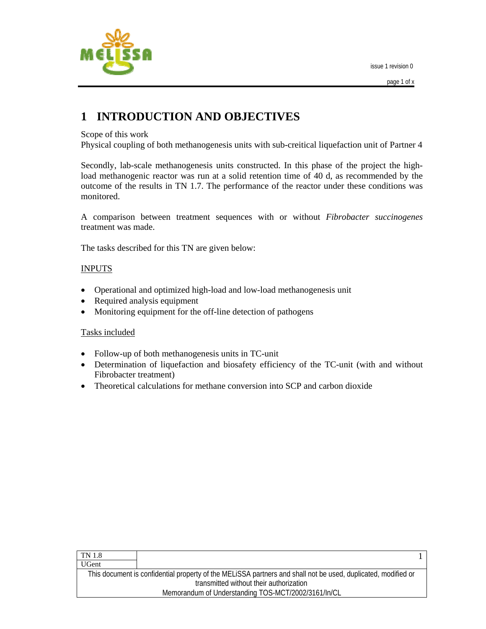

# **1 INTRODUCTION AND OBJECTIVES**

#### Scope of this work

Physical coupling of both methanogenesis units with sub-creitical liquefaction unit of Partner 4

Secondly, lab-scale methanogenesis units constructed. In this phase of the project the highload methanogenic reactor was run at a solid retention time of 40 d, as recommended by the outcome of the results in TN 1.7. The performance of the reactor under these conditions was monitored.

A comparison between treatment sequences with or without *Fibrobacter succinogenes*  treatment was made.

The tasks described for this TN are given below:

#### INPUTS

- Operational and optimized high-load and low-load methanogenesis unit
- Required analysis equipment
- Monitoring equipment for the off-line detection of pathogens

#### Tasks included

- Follow-up of both methanogenesis units in TC-unit
- Determination of liquefaction and biosafety efficiency of the TC-unit (with and without Fibrobacter treatment)
- Theoretical calculations for methane conversion into SCP and carbon dioxide

| TN 1.8                                  |                                                                                                               |  |  |
|-----------------------------------------|---------------------------------------------------------------------------------------------------------------|--|--|
| <b>UGent</b>                            |                                                                                                               |  |  |
|                                         | This document is confidential property of the MELISSA partners and shall not be used, duplicated, modified or |  |  |
| transmitted without their authorization |                                                                                                               |  |  |
|                                         | Memorandum of Understanding TOS-MCT/2002/3161/In/CL                                                           |  |  |
|                                         |                                                                                                               |  |  |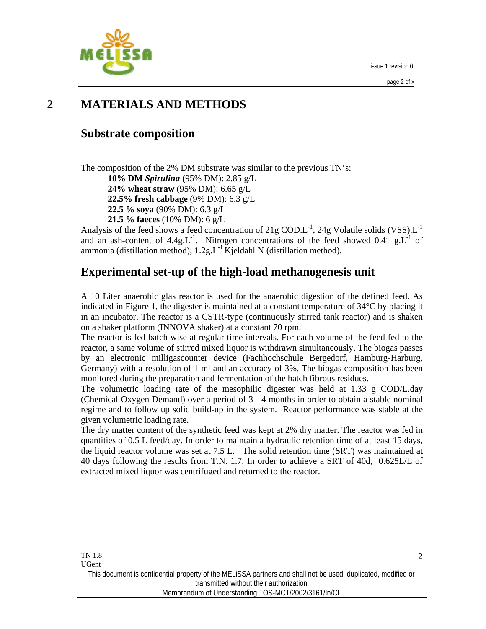



# **2 MATERIALS AND METHODS**

### **Substrate composition**

The composition of the 2% DM substrate was similar to the previous TN's:

**10% DM** *Spirulina* (95% DM): 2.85 g/L

**24% wheat straw** (95% DM): 6.65 g/L

**22.5% fresh cabbage** (9% DM): 6.3 g/L

**22.5 % soya** (90% DM): 6.3 g/L

**21.5 % faeces** (10% DM): 6 g/L

Analysis of the feed shows a feed concentration of 21g COD.L<sup>-1</sup>, 24g Volatile solids (VSS).L<sup>-1</sup> and an ash-content of  $4.4g.L^{-1}$ . Nitrogen concentrations of the feed showed 0.41 g.L<sup>-1</sup> of ammonia (distillation method);  $1.2g.L^{-1}$  Kjeldahl N (distillation method).

## **Experimental set-up of the high-load methanogenesis unit**

A 10 Liter anaerobic glas reactor is used for the anaerobic digestion of the defined feed. As indicated in Figure 1, the digester is maintained at a constant temperature of 34°C by placing it in an incubator. The reactor is a CSTR-type (continuously stirred tank reactor) and is shaken on a shaker platform (INNOVA shaker) at a constant 70 rpm.

The reactor is fed batch wise at regular time intervals. For each volume of the feed fed to the reactor, a same volume of stirred mixed liquor is withdrawn simultaneously. The biogas passes by an electronic milligascounter device (Fachhochschule Bergedorf, Hamburg-Harburg, Germany) with a resolution of 1 ml and an accuracy of 3%. The biogas composition has been monitored during the preparation and fermentation of the batch fibrous residues.

The volumetric loading rate of the mesophilic digester was held at 1.33 g COD/L.day (Chemical Oxygen Demand) over a period of 3 - 4 months in order to obtain a stable nominal regime and to follow up solid build-up in the system. Reactor performance was stable at the given volumetric loading rate.

The dry matter content of the synthetic feed was kept at 2% dry matter. The reactor was fed in quantities of 0.5 L feed/day. In order to maintain a hydraulic retention time of at least 15 days, the liquid reactor volume was set at 7.5 L. The solid retention time (SRT) was maintained at 40 days following the results from T.N. 1.7. In order to achieve a SRT of 40d, 0.625L/L of extracted mixed liquor was centrifuged and returned to the reactor.

| This document is confidential property of the MELISSA partners and shall not be used, duplicated, modified or |
|---------------------------------------------------------------------------------------------------------------|
| transmitted without their authorization                                                                       |
| Memorandum of Understanding TOS-MCT/2002/3161/In/CL                                                           |
|                                                                                                               |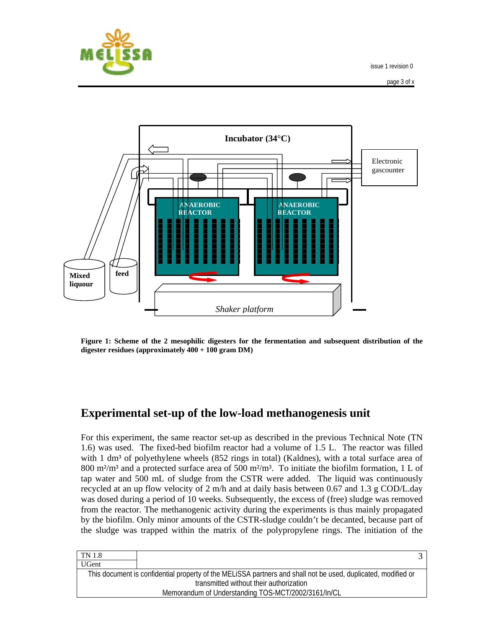



**Figure 1: Scheme of the 2 mesophilic digesters for the fermentation and subsequent distribution of the digester residues (approximately 400 + 100 gram DM)** 

### **Experimental set-up of the low-load methanogenesis unit**

For this experiment, the same reactor set-up as described in the previous Technical Note (TN 1.6) was used. The fixed-bed biofilm reactor had a volume of 1.5 L. The reactor was filled with 1 dm<sup>3</sup> of polyethylene wheels (852 rings in total) (Kaldnes), with a total surface area of 800 m<sup>2</sup>/m<sup>3</sup> and a protected surface area of 500 m<sup>2</sup>/m<sup>3</sup>. To initiate the biofilm formation, 1 L of tap water and 500 mL of sludge from the CSTR were added. The liquid was continuously recycled at an up flow velocity of 2 m/h and at daily basis between 0.67 and 1.3 g COD/L.day was dosed during a period of 10 weeks. Subsequently, the excess of (free) sludge was removed from the reactor. The methanogenic activity during the experiments is thus mainly propagated by the biofilm. Only minor amounts of the CSTR-sludge couldn't be decanted, because part of the sludge was trapped within the matrix of the polypropylene rings. The initiation of the

| TN 1.8       |                                                                                                               |  |
|--------------|---------------------------------------------------------------------------------------------------------------|--|
| <b>UGent</b> |                                                                                                               |  |
|              | This document is confidential property of the MELISSA partners and shall not be used, duplicated, modified or |  |
|              | transmitted without their authorization                                                                       |  |
|              | Memorandum of Understanding TOS-MCT/2002/3161/In/CL                                                           |  |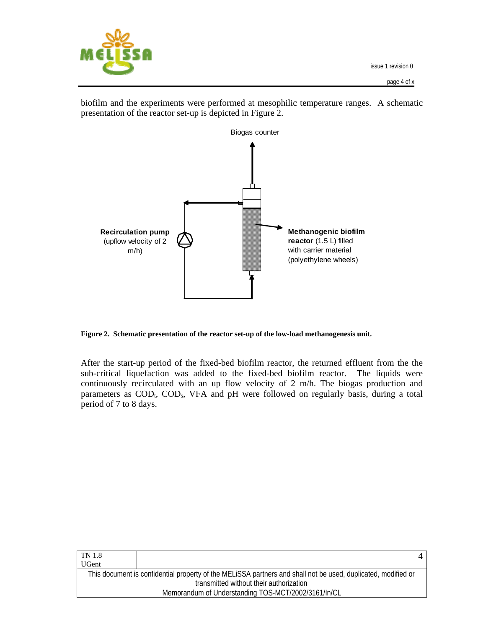

biofilm and the experiments were performed at mesophilic temperature ranges. A schematic presentation of the reactor set-up is depicted in Figure 2.



**Figure 2. Schematic presentation of the reactor set-up of the low-load methanogenesis unit.** 

After the start-up period of the fixed-bed biofilm reactor, the returned effluent from the the sub-critical liquefaction was added to the fixed-bed biofilm reactor. The liquids were continuously recirculated with an up flow velocity of 2 m/h. The biogas production and parameters as COD<sub>t</sub>, COD<sub>s</sub>, VFA and pH were followed on regularly basis, during a total period of 7 to 8 days.

| <b>TN</b> 1.8 |                                                                                                               |  |
|---------------|---------------------------------------------------------------------------------------------------------------|--|
| <b>UGent</b>  |                                                                                                               |  |
|               | This document is confidential property of the MELISSA partners and shall not be used, duplicated, modified or |  |
|               | transmitted without their authorization                                                                       |  |
|               | Memorandum of Understanding TOS-MCT/2002/3161/In/CL                                                           |  |
|               |                                                                                                               |  |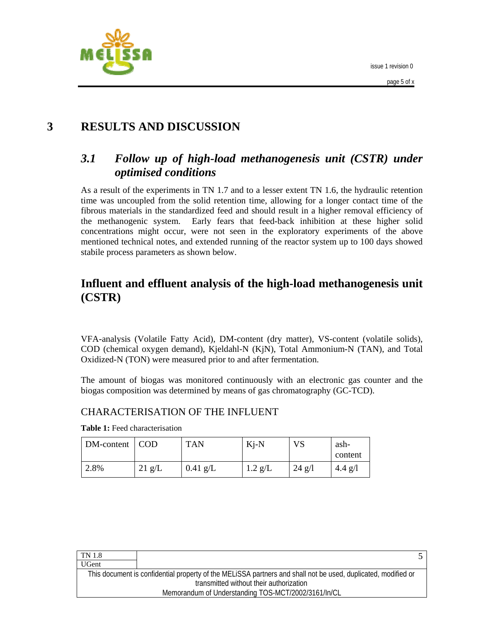



# **3 RESULTS AND DISCUSSION**

## *3.1 Follow up of high-load methanogenesis unit (CSTR) under optimised conditions*

As a result of the experiments in TN 1.7 and to a lesser extent TN 1.6, the hydraulic retention time was uncoupled from the solid retention time, allowing for a longer contact time of the fibrous materials in the standardized feed and should result in a higher removal efficiency of the methanogenic system. Early fears that feed-back inhibition at these higher solid concentrations might occur, were not seen in the exploratory experiments of the above mentioned technical notes, and extended running of the reactor system up to 100 days showed stabile process parameters as shown below.

### **Influent and effluent analysis of the high-load methanogenesis unit (CSTR)**

VFA-analysis (Volatile Fatty Acid), DM-content (dry matter), VS-content (volatile solids), COD (chemical oxygen demand), Kjeldahl-N (KjN), Total Ammonium-N (TAN), and Total Oxidized-N (TON) were measured prior to and after fermentation.

The amount of biogas was monitored continuously with an electronic gas counter and the biogas composition was determined by means of gas chromatography (GC-TCD).

#### CHARACTERISATION OF THE INFLUENT

**Table 1:** Feed characterisation

| DM-content | $\vert$ COD      | <b>TAN</b> | $Ki-N$    | VS       | ash-<br>content |
|------------|------------------|------------|-----------|----------|-----------------|
| 2.8%       | $21 \text{ g/L}$ | $0.41$ g/L | $1.2$ g/L | $24$ g/l | 4.4 g/l         |

| transmitted without their authorization             |                                                                                                               |
|-----------------------------------------------------|---------------------------------------------------------------------------------------------------------------|
| Memorandum of Understanding TOS-MCT/2002/3161/In/CL |                                                                                                               |
|                                                     | This document is confidential property of the MELISSA partners and shall not be used, duplicated, modified or |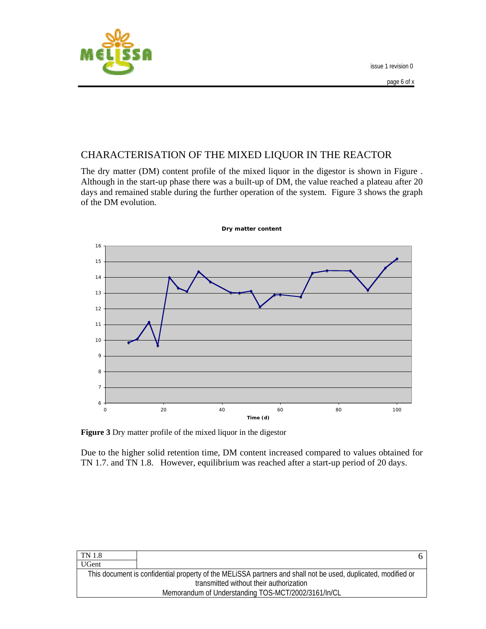



### CHARACTERISATION OF THE MIXED LIQUOR IN THE REACTOR

The dry matter (DM) content profile of the mixed liquor in the digestor is shown in Figure . Although in the start-up phase there was a built-up of DM, the value reached a plateau after 20 days and remained stable during the further operation of the system. Figure 3 shows the graph of the DM evolution.



**Dry matter content**

**Figure 3** Dry matter profile of the mixed liquor in the digestor

Due to the higher solid retention time, DM content increased compared to values obtained for TN 1.7. and TN 1.8. However, equilibrium was reached after a start-up period of 20 days.

| TN 1.8       |                                                                                                               |
|--------------|---------------------------------------------------------------------------------------------------------------|
| <b>UGent</b> |                                                                                                               |
|              | This document is confidential property of the MELISSA partners and shall not be used, duplicated, modified or |
|              | transmitted without their authorization                                                                       |
|              | Memorandum of Understanding TOS-MCT/2002/3161/In/CL                                                           |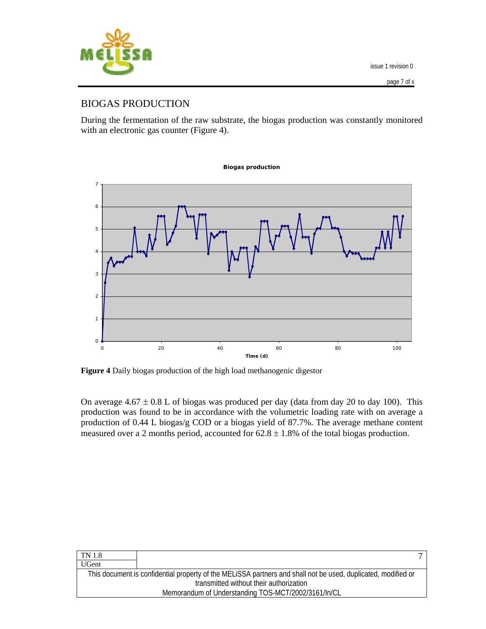

#### BIOGAS PRODUCTION

During the fermentation of the raw substrate, the biogas production was constantly monitored with an electronic gas counter (Figure 4).



**Figure 4** Daily biogas production of the high load methanogenic digestor

On average  $4.67 \pm 0.8$  L of biogas was produced per day (data from day 20 to day 100). This production was found to be in accordance with the volumetric loading rate with on average a production of 0.44 L biogas/g COD or a biogas yield of 87.7%. The average methane content measured over a 2 months period, accounted for  $62.8 \pm 1.8$ % of the total biogas production.

| transmitted without their authorization             |                                                                                                               |
|-----------------------------------------------------|---------------------------------------------------------------------------------------------------------------|
| Memorandum of Understanding TOS-MCT/2002/3161/In/CL |                                                                                                               |
|                                                     | This document is confidential property of the MELISSA partners and shall not be used, duplicated, modified or |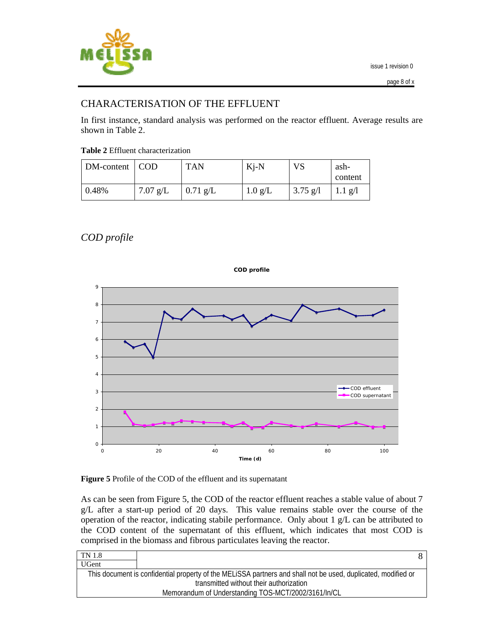

#### CHARACTERISATION OF THE EFFLUENT

In first instance, standard analysis was performed on the reactor effluent. Average results are shown in Table 2.

| <b>Table 2</b> Effluent characterization |  |
|------------------------------------------|--|
|------------------------------------------|--|

| DM-content   COD |            | <b>TAN</b> | $Ki-N$            | VS         | ash-<br>content          |
|------------------|------------|------------|-------------------|------------|--------------------------|
| 0.48%            | $7.07$ g/L | $0.71$ g/L | $1.0 \text{ g/L}$ | $3.75$ g/l | $1.1 \text{ g}/\text{l}$ |

*COD profile* 



**Figure 5** Profile of the COD of the effluent and its supernatant

As can be seen from Figure 5, the COD of the reactor effluent reaches a stable value of about 7 g/L after a start-up period of 20 days. This value remains stable over the course of the operation of the reactor, indicating stabile performance. Only about 1 g/L can be attributed to the COD content of the supernatant of this effluent, which indicates that most COD is comprised in the biomass and fibrous particulates leaving the reactor.

| TN 1.8       |                                                                                                               |
|--------------|---------------------------------------------------------------------------------------------------------------|
| <b>UGent</b> |                                                                                                               |
|              | This document is confidential property of the MELiSSA partners and shall not be used, duplicated, modified or |
|              | transmitted without their authorization                                                                       |
|              | Memorandum of Understanding TOS-MCT/2002/3161/In/CL                                                           |
|              |                                                                                                               |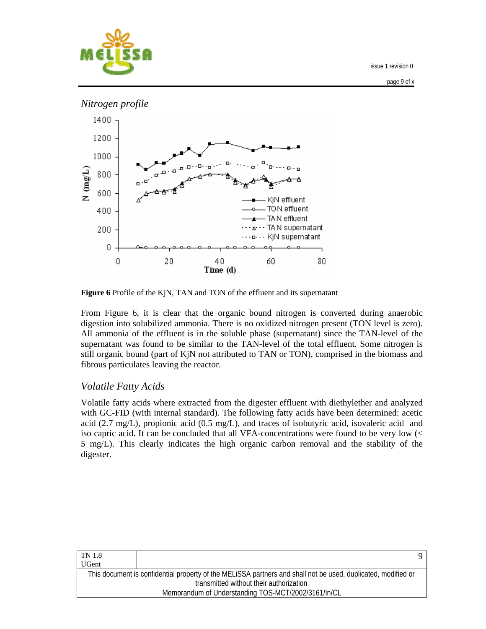

page 9 of x



**Figure 6** Profile of the KjN, TAN and TON of the effluent and its supernatant

From Figure 6, it is clear that the organic bound nitrogen is converted during anaerobic digestion into solubilized ammonia. There is no oxidized nitrogen present (TON level is zero). All ammonia of the effluent is in the soluble phase (supernatant) since the TAN-level of the supernatant was found to be similar to the TAN-level of the total effluent. Some nitrogen is still organic bound (part of KjN not attributed to TAN or TON), comprised in the biomass and fibrous particulates leaving the reactor.

#### *Volatile Fatty Acids*

Volatile fatty acids where extracted from the digester effluent with diethylether and analyzed with GC-FID (with internal standard). The following fatty acids have been determined: acetic acid (2.7 mg/L), propionic acid (0.5 mg/L), and traces of isobutyric acid, isovaleric acid and iso capric acid. It can be concluded that all VFA-concentrations were found to be very low (< 5 mg/L). This clearly indicates the high organic carbon removal and the stability of the digester.

| TN 1.8       |                                                                                                               |
|--------------|---------------------------------------------------------------------------------------------------------------|
| <b>UGent</b> |                                                                                                               |
|              | This document is confidential property of the MELISSA partners and shall not be used, duplicated, modified or |
|              | transmitted without their authorization                                                                       |
|              | Memorandum of Understanding TOS-MCT/2002/3161/In/CL                                                           |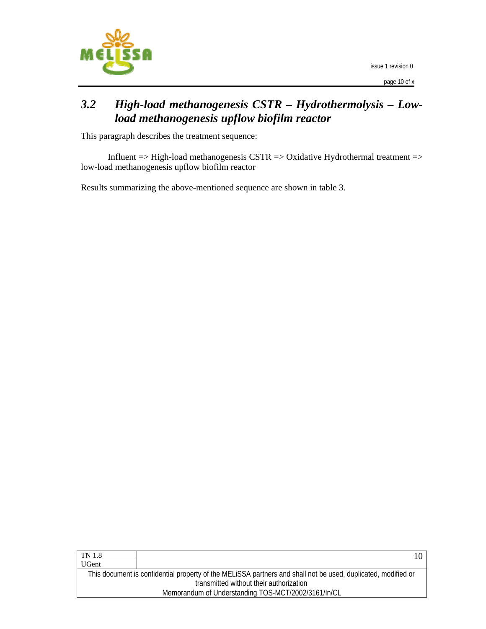

page 10 of x

## *3.2 High-load methanogenesis CSTR – Hydrothermolysis – Lowload methanogenesis upflow biofilm reactor*

This paragraph describes the treatment sequence:

Influent  $\Rightarrow$  High-load methanogenesis CSTR  $\Rightarrow$  Oxidative Hydrothermal treatment  $\Rightarrow$ low-load methanogenesis upflow biofilm reactor

Results summarizing the above-mentioned sequence are shown in table 3.

| TN 1.8       | 10.                                                                                                           |
|--------------|---------------------------------------------------------------------------------------------------------------|
| <b>UGent</b> |                                                                                                               |
|              | This document is confidential property of the MELISSA partners and shall not be used, duplicated, modified or |
|              | transmitted without their authorization                                                                       |
|              | Memorandum of Understanding TOS-MCT/2002/3161/In/CL                                                           |
|              |                                                                                                               |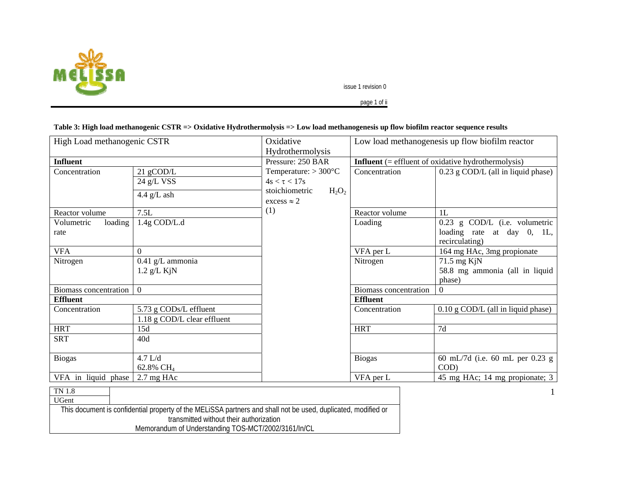

page 1 of ii

#### **Table 3: High load methanogenic CSTR => Oxidative Hydrothermolysis => Low load methanogenesis up flow biofilm reactor sequence results**

| High Load methanogenic CSTR     |                                                       | Low load methanogenesis up flow biofilm reactor<br>Oxidative                                                   |                                                              |                                                                                 |
|---------------------------------|-------------------------------------------------------|----------------------------------------------------------------------------------------------------------------|--------------------------------------------------------------|---------------------------------------------------------------------------------|
|                                 |                                                       | Hydrothermolysis                                                                                               |                                                              |                                                                                 |
| <b>Influent</b>                 |                                                       | Pressure: 250 BAR                                                                                              | <b>Influent</b> $(=$ effluent of oxidative hydrothermolysis) |                                                                                 |
| Concentration<br>Reactor volume | 21 gCOD/L<br>24 g/L VSS<br>4.4 $g/L$ ash<br>7.5L      | Temperature: $> 300^{\circ}$ C<br>$4s < \tau < 17s$<br>stoichiometric<br>$H_2O_2$<br>$excess \approx 2$<br>(1) | Concentration<br>Reactor volume                              | 0.23 g COD/L (all in liquid phase)<br>1L                                        |
| Volumetric<br>loading<br>rate   | 1.4g COD/L.d                                          |                                                                                                                | Loading                                                      | $0.23$ g COD/L (i.e. volumetric<br>loading rate at day 0, 1L,<br>recirculating) |
| <b>VFA</b>                      | $\Omega$                                              |                                                                                                                | VFA per L                                                    | 164 mg HAc, 3mg propionate                                                      |
| Nitrogen                        | $0.41$ g/L ammonia<br>$1.2$ g/L KjN                   |                                                                                                                | Nitrogen                                                     | $71.5$ mg KjN<br>58.8 mg ammonia (all in liquid<br>phase)                       |
| Biomass concentration           | $\overline{0}$                                        |                                                                                                                | Biomass concentration                                        | $\mathbf{0}$                                                                    |
| <b>Effluent</b>                 |                                                       |                                                                                                                | <b>Effluent</b>                                              |                                                                                 |
| Concentration                   | 5.73 g CODs/L effluent<br>1.18 g COD/L clear effluent |                                                                                                                | Concentration                                                | 0.10 g COD/L (all in liquid phase)                                              |
| <b>HRT</b>                      | 15d                                                   |                                                                                                                | <b>HRT</b>                                                   | 7d                                                                              |
| <b>SRT</b>                      | 40d                                                   |                                                                                                                |                                                              |                                                                                 |
| <b>Biogas</b>                   | 4.7 L/d<br>62.8% CH <sub>4</sub>                      |                                                                                                                | <b>Biogas</b>                                                | 60 mL/7d (i.e. 60 mL per 0.23 g<br>COD)                                         |
| VFA in liquid phase             | $2.7 \text{ mg HAc}$                                  |                                                                                                                | VFA per L                                                    | 45 mg HAc; 14 mg propionate; 3                                                  |
| $\rm TN$ $1.8$<br>$ITC_{ext}$   |                                                       |                                                                                                                |                                                              |                                                                                 |

UGent This document is confidential property of the MELiSSA partners and shall not be used, duplicated, modified or transmitted without their authorization Memorandum of Understanding TOS-MCT/2002/3161/In/CL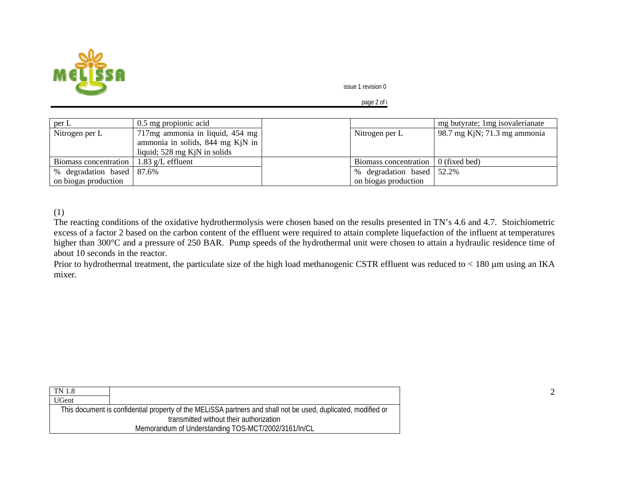

page 2 of i

| per L                     | 0.5 mg propionic acid            |                           | mg butyrate; 1 mg isovalerianate |
|---------------------------|----------------------------------|---------------------------|----------------------------------|
| Nitrogen per L            | 717mg ammonia in liquid, 454 mg  | Nitrogen per L            | 98.7 mg KjN; 71.3 mg ammonia     |
|                           | ammonia in solids, 844 mg KjN in |                           |                                  |
|                           | liquid; 528 mg KjN in solids     |                           |                                  |
| Biomass concentration     | $1.83$ g/L effluent              | Biomass concentration     | $0$ (fixed bed)                  |
| % degradation based 87.6% |                                  | % degradation based 52.2% |                                  |
| on biogas production      |                                  | on biogas production      |                                  |

(1)

The reacting conditions of the oxidative hydrothermolysis were chosen based on the results presented in TN's 4.6 and 4.7. Stoichiometric excess of a factor 2 based on the carbon content of the effluent were required to attain complete liquefaction of the influent at temperatures higher than 300°C and a pressure of 250 BAR. Pump speeds of the hydrothermal unit were chosen to attain a hydraulic residence time of about 10 seconds in the reactor.

Prior to hydrothermal treatment, the particulate size of the high load methanogenic CSTR effluent was reduced to < 180 μm using an IKA mixer.

| <b>TN</b> 1.8 |                                                                                                               |
|---------------|---------------------------------------------------------------------------------------------------------------|
| <b>UGent</b>  |                                                                                                               |
|               | This document is confidential property of the MELISSA partners and shall not be used, duplicated, modified or |
|               | transmitted without their authorization                                                                       |
|               | Memorandum of Understanding TOS-MCT/2002/3161/In/CL                                                           |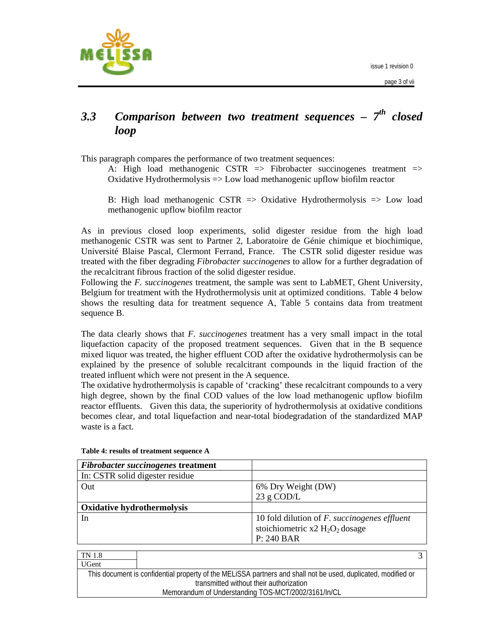



## *3.3 Comparison between two treatment sequences – 7th closed loop*

This paragraph compares the performance of two treatment sequences:

A: High load methanogenic CSTR  $\Rightarrow$  Fibrobacter succinogenes treatment  $\Rightarrow$ Oxidative Hydrothermolysis => Low load methanogenic upflow biofilm reactor

B: High load methanogenic CSTR  $\Rightarrow$  Oxidative Hydrothermolysis  $\Rightarrow$  Low load methanogenic upflow biofilm reactor

As in previous closed loop experiments, solid digester residue from the high load methanogenic CSTR was sent to Partner 2, Laboratoire de Génie chimique et biochimique, Université Blaise Pascal, Clermont Ferrand, France. The CSTR solid digester residue was treated with the fiber degrading *Fibrobacter succinogenes* to allow for a further degradation of the recalcitrant fibrous fraction of the solid digester residue.

Following the *F. succinogenes* treatment, the sample was sent to LabMET, Ghent University, Belgium for treatment with the Hydrothermolysis unit at optimized conditions. Table 4 below shows the resulting data for treatment sequence A, Table 5 contains data from treatment sequence B.

The data clearly shows that *F. succinogenes* treatment has a very small impact in the total liquefaction capacity of the proposed treatment sequences. Given that in the B sequence mixed liquor was treated, the higher effluent COD after the oxidative hydrothermolysis can be explained by the presence of soluble recalcitrant compounds in the liquid fraction of the treated influent which were not present in the A sequence.

The oxidative hydrothermolysis is capable of 'cracking' these recalcitrant compounds to a very high degree, shown by the final COD values of the low load methanogenic upflow biofilm reactor effluents. Given this data, the superiority of hydrothermolysis at oxidative conditions becomes clear, and total liquefaction and near-total biodegradation of the standardized MAP waste is a fact.

| <b>Fibrobacter succinogenes treatment</b> |                                                     |
|-------------------------------------------|-----------------------------------------------------|
| In: CSTR solid digester residue           |                                                     |
| Out                                       | 6% Dry Weight (DW)                                  |
|                                           | 23 g COD/L                                          |
| <b>Oxidative hydrothermolysis</b>         |                                                     |
| In                                        | 10 fold dilution of <i>F. succinogenes effluent</i> |
|                                           | stoichiometric x2 $H_2O_2$ dosage                   |
|                                           | P: 240 BAR                                          |

#### **Table 4: results of treatment sequence A**

TN 1.8 UGent This document is confidential property of the MELiSSA partners and shall not be used, duplicated, modified or transmitted without their authorization Memorandum of Understanding TOS-MCT/2002/3161/In/CL 3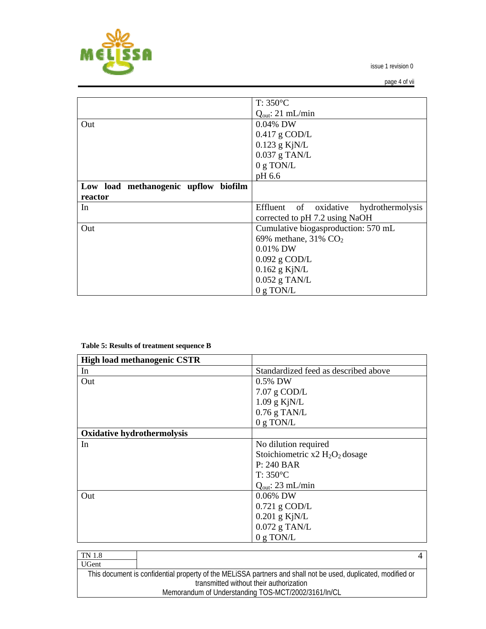

page 4 of vii

|                                      | $T: 350^{\circ}C$                         |
|--------------------------------------|-------------------------------------------|
|                                      | $Q_{\text{out}}$ : 21 mL/min              |
| Out                                  | 0.04% DW                                  |
|                                      | $0.417$ g COD/L                           |
|                                      | $0.123$ g KjN/L                           |
|                                      | $0.037$ g TAN/L                           |
|                                      | $0 g$ TON/L                               |
|                                      | pH 6.6                                    |
| Low load methanogenic upflow biofilm |                                           |
| reactor                              |                                           |
| In                                   | Effluent of oxidative<br>hydrothermolysis |
|                                      | corrected to pH 7.2 using NaOH            |
| Out                                  | Cumulative biogasproduction: 570 mL       |
|                                      | 69% methane, $31\%$ CO <sub>2</sub>       |
|                                      | $0.01\%$ DW                               |
|                                      | $0.092$ g COD/L                           |
|                                      | $0.162$ g KjN/L                           |
|                                      | $0.052$ g TAN/L                           |
|                                      | $0 g$ TON/L                               |

#### **Table 5: Results of treatment sequence B**

| <b>High load methanogenic CSTR</b> |                                      |
|------------------------------------|--------------------------------------|
| In                                 | Standardized feed as described above |
| Out                                | 0.5% DW                              |
|                                    | $7.07$ g COD/L                       |
|                                    | $1.09$ g KjN/L                       |
|                                    | $0.76$ g TAN/L                       |
|                                    | $0 g$ TON/L                          |
| <b>Oxidative hydrothermolysis</b>  |                                      |
| In                                 | No dilution required                 |
|                                    | Stoichiometric $x2 H_2O_2$ dosage    |
|                                    | P: 240 BAR                           |
|                                    | $T: 350^{\circ}C$                    |
|                                    | $Q_{\text{out}}$ : 23 mL/min         |
| Out                                | 0.06% DW                             |
|                                    | $0.721$ g COD/L                      |
|                                    | $0.201$ g KjN/L                      |
|                                    | $0.072$ g TAN/L                      |
|                                    | $0 g$ TON/L                          |

| TN 1.8       |                                                                                                               |  |
|--------------|---------------------------------------------------------------------------------------------------------------|--|
| <b>UGent</b> |                                                                                                               |  |
|              | This document is confidential property of the MELISSA partners and shall not be used, duplicated, modified or |  |
|              | transmitted without their authorization                                                                       |  |
|              | Memorandum of Understanding TOS-MCT/2002/3161/In/CL                                                           |  |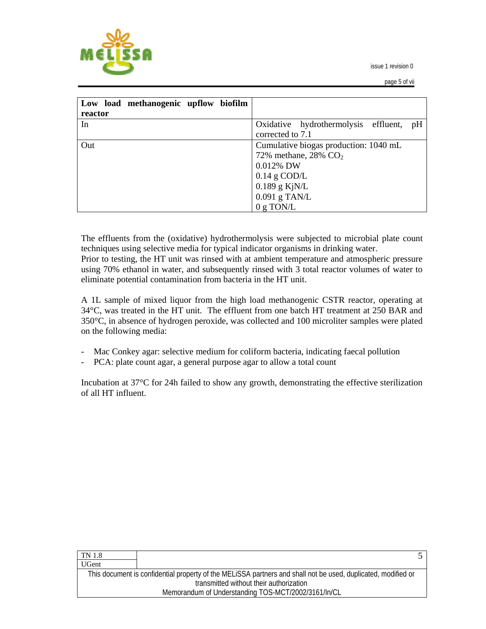

page 5 of vii

| Low load methanogenic upflow biofilm |                                            |
|--------------------------------------|--------------------------------------------|
| reactor                              |                                            |
| In                                   | Oxidative hydrothermolysis effluent,<br>pH |
|                                      | corrected to 7.1                           |
| Out                                  | Cumulative biogas production: 1040 mL      |
|                                      | 72% methane, 28% $CO2$                     |
|                                      | $0.012\%$ DW                               |
|                                      | $0.14$ g COD/L                             |
|                                      | $0.189$ g KjN/L                            |
|                                      | $0.091$ g TAN/L                            |
|                                      | 0 g TON/L                                  |

The effluents from the (oxidative) hydrothermolysis were subjected to microbial plate count techniques using selective media for typical indicator organisms in drinking water.

Prior to testing, the HT unit was rinsed with at ambient temperature and atmospheric pressure using 70% ethanol in water, and subsequently rinsed with 3 total reactor volumes of water to eliminate potential contamination from bacteria in the HT unit.

A 1L sample of mixed liquor from the high load methanogenic CSTR reactor, operating at 34°C, was treated in the HT unit. The effluent from one batch HT treatment at 250 BAR and 350°C, in absence of hydrogen peroxide, was collected and 100 microliter samples were plated on the following media:

- Mac Conkey agar: selective medium for coliform bacteria, indicating faecal pollution
- PCA: plate count agar, a general purpose agar to allow a total count

Incubation at 37°C for 24h failed to show any growth, demonstrating the effective sterilization of all HT influent.

| <b>TN 1.8</b> |                                                                                                               |  |
|---------------|---------------------------------------------------------------------------------------------------------------|--|
| <b>UGent</b>  |                                                                                                               |  |
|               | This document is confidential property of the MELISSA partners and shall not be used, duplicated, modified or |  |
|               | transmitted without their authorization                                                                       |  |
|               | Memorandum of Understanding TOS-MCT/2002/3161/In/CL                                                           |  |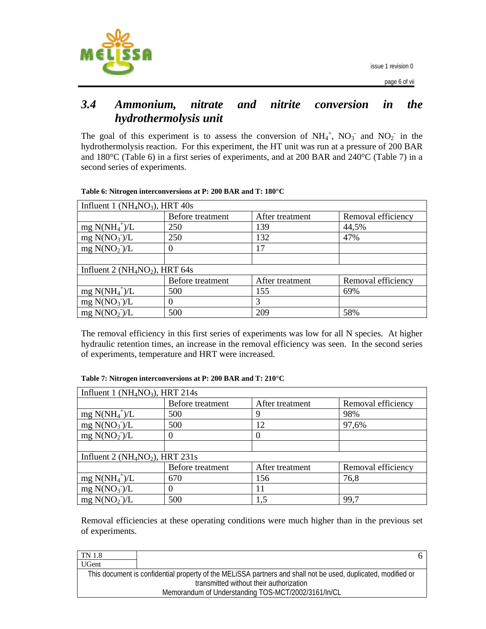

### *3.4 Ammonium, nitrate and nitrite conversion in the hydrothermolysis unit*

The goal of this experiment is to assess the conversion of  $NH_4^+$ ,  $NO_3^-$  and  $NO_2^-$  in the hydrothermolysis reaction. For this experiment, the HT unit was run at a pressure of 200 BAR and 180°C (Table 6) in a first series of experiments, and at 200 BAR and 240°C (Table 7) in a second series of experiments.

| Influent 1 ( $NH4NO3$ ), HRT 40s   |                  |                 |                    |
|------------------------------------|------------------|-----------------|--------------------|
|                                    | Before treatment | After treatment | Removal efficiency |
| $mg N(NH_4^+)/L$                   | 250              | 139             | 44,5%              |
| mg N(NO <sub>3</sub> )/L           | 250              | 132             | 47%                |
| mg N(NO <sub>2</sub> )/L           | 0                | 17              |                    |
|                                    |                  |                 |                    |
| Influent 2 ( $NH_4NO_2$ ), HRT 64s |                  |                 |                    |
|                                    | Before treatment | After treatment | Removal efficiency |
| $mg N(NH_4^+)/L$                   | 500              | 155             | 69%                |
| mg N(NO <sub>3</sub> )/L           | 0                | 3               |                    |
| mg N(NO <sub>2</sub> )/L           | 500              | 209             | 58%                |

The removal efficiency in this first series of experiments was low for all N species. At higher hydraulic retention times, an increase in the removal efficiency was seen. In the second series of experiments, temperature and HRT were increased.

| Influent 1 ( $NH4NO3$ ), HRT 214s |                  |                 |                    |
|-----------------------------------|------------------|-----------------|--------------------|
|                                   | Before treatment | After treatment | Removal efficiency |
| $mg N(NH_4^+)/L$                  | 500              | 9               | 98%                |
| mg $N(NO_3)/L$                    | 500              | 12              | 97,6%              |
| mg N(NO <sub>2</sub> )/L          | 0                |                 |                    |
|                                   |                  |                 |                    |
| Influent 2 ( $NH4NO2$ ), HRT 231s |                  |                 |                    |
|                                   | Before treatment | After treatment | Removal efficiency |
| $mg N(NH_4^+)/L$                  | 670              | 156             | 76,8               |
| mg N(NO <sub>3</sub> )/L          | 0                | 11              |                    |
| mg $N(NO_2)/L$                    | 500              | 1,5             | 99,7               |

Removal efficiencies at these operating conditions were much higher than in the previous set of experiments.

| TN 1.8                                              |                                                                                                               |  |
|-----------------------------------------------------|---------------------------------------------------------------------------------------------------------------|--|
| <b>UGent</b>                                        |                                                                                                               |  |
|                                                     | This document is confidential property of the MELISSA partners and shall not be used, duplicated, modified or |  |
| transmitted without their authorization             |                                                                                                               |  |
| Memorandum of Understanding TOS-MCT/2002/3161/In/CL |                                                                                                               |  |
|                                                     |                                                                                                               |  |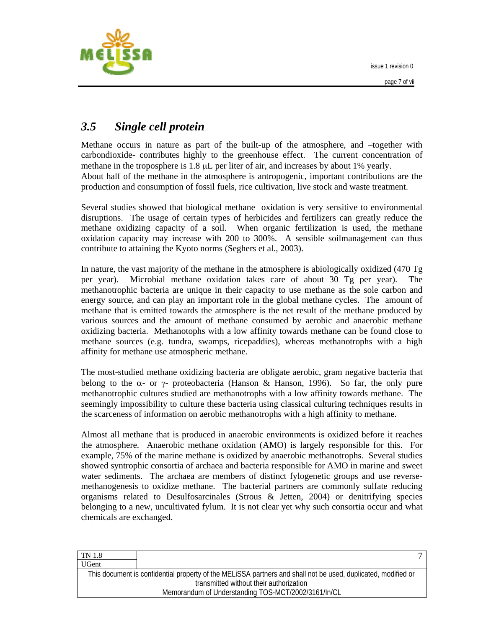



# *3.5 Single cell protein*

Methane occurs in nature as part of the built-up of the atmosphere, and –together with carbondioxide- contributes highly to the greenhouse effect. The current concentration of methane in the troposphere is 1.8 μL per liter of air, and increases by about 1% yearly. About half of the methane in the atmosphere is antropogenic, important contributions are the production and consumption of fossil fuels, rice cultivation, live stock and waste treatment.

Several studies showed that biological methane oxidation is very sensitive to environmental disruptions. The usage of certain types of herbicides and fertilizers can greatly reduce the methane oxidizing capacity of a soil. When organic fertilization is used, the methane oxidation capacity may increase with 200 to 300%. A sensible soilmanagement can thus contribute to attaining the Kyoto norms (Seghers et al., 2003).

In nature, the vast majority of the methane in the atmosphere is abiologically oxidized (470 Tg per year). Microbial methane oxidation takes care of about 30 Tg per year). The methanotrophic bacteria are unique in their capacity to use methane as the sole carbon and energy source, and can play an important role in the global methane cycles. The amount of methane that is emitted towards the atmosphere is the net result of the methane produced by various sources and the amount of methane consumed by aerobic and anaerobic methane oxidizing bacteria. Methanotophs with a low affinity towards methane can be found close to methane sources (e.g. tundra, swamps, ricepaddies), whereas methanotrophs with a high affinity for methane use atmospheric methane.

The most-studied methane oxidizing bacteria are obligate aerobic, gram negative bacteria that belong to the  $\alpha$ - or  $\gamma$ - proteobacteria (Hanson & Hanson, 1996). So far, the only pure methanotrophic cultures studied are methanotrophs with a low affinity towards methane. The seemingly impossibility to culture these bacteria using classical culturing techniques results in the scarceness of information on aerobic methanotrophs with a high affinity to methane.

Almost all methane that is produced in anaerobic environments is oxidized before it reaches the atmosphere. Anaerobic methane oxidation (AMO) is largely responsible for this. For example, 75% of the marine methane is oxidized by anaerobic methanotrophs. Several studies showed syntrophic consortia of archaea and bacteria responsible for AMO in marine and sweet water sediments. The archaea are members of distinct fylogenetic groups and use reversemethanogenesis to oxidize methane. The bacterial partners are commonly sulfate reducing organisms related to Desulfosarcinales (Strous  $\&$  Jetten, 2004) or denitrifying species belonging to a new, uncultivated fylum. It is not clear yet why such consortia occur and what chemicals are exchanged.

| TN 1.8       |                                                                                                               |
|--------------|---------------------------------------------------------------------------------------------------------------|
| <b>UGent</b> |                                                                                                               |
|              | This document is confidential property of the MELISSA partners and shall not be used, duplicated, modified or |
|              | transmitted without their authorization                                                                       |
|              | Memorandum of Understanding TOS-MCT/2002/3161/In/CL                                                           |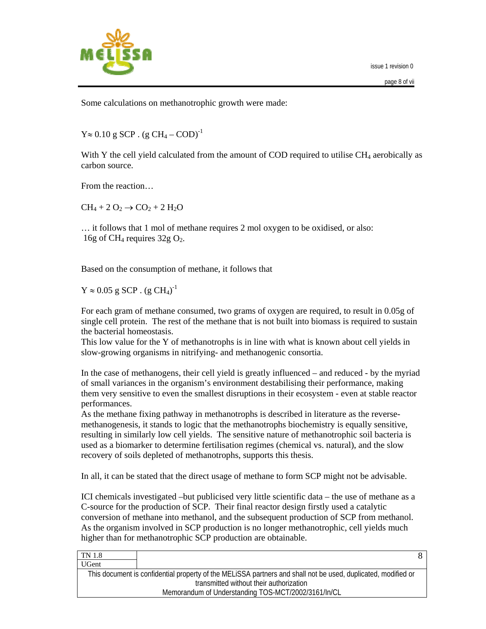

Some calculations on methanotrophic growth were made:

 $Y \approx 0.10$  g SCP. (g CH<sub>4</sub> – COD)<sup>-1</sup>

With Y the cell yield calculated from the amount of COD required to utilise  $CH<sub>4</sub>$  aerobically as carbon source.

From the reaction…

 $CH_4 + 2 O_2 \rightarrow CO_2 + 2 H_2O$ 

… it follows that 1 mol of methane requires 2 mol oxygen to be oxidised, or also: 16g of CH<sub>4</sub> requires  $32g O_2$ .

Based on the consumption of methane, it follows that

 $Y \approx 0.05$  g SCP . (g CH<sub>4</sub>)<sup>-1</sup>

For each gram of methane consumed, two grams of oxygen are required, to result in 0.05g of single cell protein. The rest of the methane that is not built into biomass is required to sustain the bacterial homeostasis.

This low value for the Y of methanotrophs is in line with what is known about cell yields in slow-growing organisms in nitrifying- and methanogenic consortia.

In the case of methanogens, their cell yield is greatly influenced – and reduced - by the myriad of small variances in the organism's environment destabilising their performance, making them very sensitive to even the smallest disruptions in their ecosystem - even at stable reactor performances.

As the methane fixing pathway in methanotrophs is described in literature as the reversemethanogenesis, it stands to logic that the methanotrophs biochemistry is equally sensitive, resulting in similarly low cell yields. The sensitive nature of methanotrophic soil bacteria is used as a biomarker to determine fertilisation regimes (chemical vs. natural), and the slow recovery of soils depleted of methanotrophs, supports this thesis.

In all, it can be stated that the direct usage of methane to form SCP might not be advisable.

ICI chemicals investigated –but publicised very little scientific data – the use of methane as a C-source for the production of SCP. Their final reactor design firstly used a catalytic conversion of methane into methanol, and the subsequent production of SCP from methanol. As the organism involved in SCP production is no longer methanotrophic, cell yields much higher than for methanotrophic SCP production are obtainable.

| TN 1.8       |                                                                                                               |  |
|--------------|---------------------------------------------------------------------------------------------------------------|--|
| <b>UGent</b> |                                                                                                               |  |
|              | This document is confidential property of the MELISSA partners and shall not be used, duplicated, modified or |  |
|              | transmitted without their authorization                                                                       |  |
|              | Memorandum of Understanding TOS-MCT/2002/3161/In/CL                                                           |  |